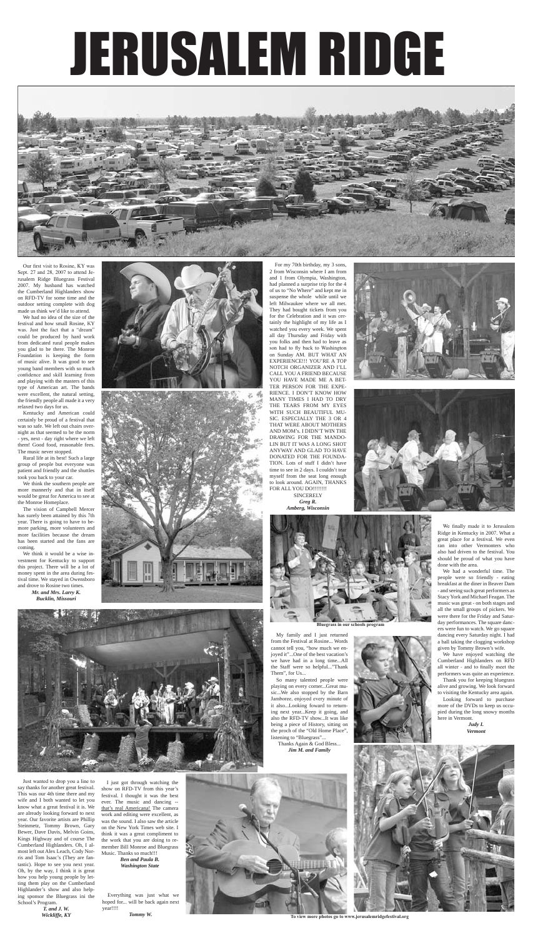# JERUSALEM RIDGE

 For my 70th birthday, my 3 sons, 2 from Wisconsin where I am from and 1 from Olympia, Washington, had planned a surprise trip for the 4 of us to "No Where" and kept me in suspense the whole while until we left Milwaukee where we all met. They had bought tickets from you for the Celebration and it was certainly the highlight of my life as I watched you every week. We spent all day Thursday and Friday with you folks and then had to leave as son had to fly back to Washington on Sunday AM. BUT WHAT AN EXPERIENCE!!! YOU'RE A TOP NOTCH ORGANIZER AND I'LL CALL YOU A FRIEND BECAUSE YOU HAVE MADE ME A BET-TER PERSON FOR THE EXPE-RIENCE. I DON'T KNOW HOW MANY TIMES I HAD TO DRY THE TEARS FROM MY EYES WITH SUCH BEAUTIFUL MU-SIC. ESPECIALLY THE 3 OR 4 THAT WERE ABOUT MOTHERS AND MOM's. I DIDN'T WIN THE DRAWING FOR THE MANDO-LIN BUT IT WAS A LONG SHOT ANYWAY AND GLAD TO HAVE DONATED FOR THE FOUNDA-TION. Lots of stuff I didn't have time to see in 2 days. I couldn't tear myself from the seat long enough to look around. AGAIN, THANKS FOR ALL YOU DO!!!!!!!! **SINCERELY** 



*Greg R. Amberg, Wisconsin*





We finally made it to Jerusalem

Ridge in Kentucky in 2007. What a great place for a festival. We even ran into other Vermonters who also had driven to the festival. You should be proud of what you have done with the area.

 We had a wonderful time. The people were so friendly - eating breakfast at the diner in Beaver Dam - and seeing such great performers as Stacy York and Michael Feagan. The music was great - on both stages and all the small groups of pickers. We were there for the Friday and Saturday performances. The square dancers were fun to watch. We go square dancing every Saturday night. I had a ball taking the clogging workshop given by Tommy Brown's wife.

Cumberland Highlanders on RFD all winter - and to finally meet the performers was quite an experience.

 We have enjoyed watching the Thank you for keeping bluegrass

alive and growing. We look forward to visiting the Kentucky area again. Looking forward to purchase more of the DVDs to keep us occupied during the long snowy months here in Vermont.

*Judy I. Vermont*

 I just got through watching the show on RFD-TV from this year's festival. I thought it was the best

ever. The music and dancing - that's real Americana! The camera work and editing were excellent, as was the sound. I also saw the article on the New York Times web site. I think it was a great compliment to the work that you are doing to remember Bill Monroe and Bluegrass Music. Thanks so much!!! *Ben and Paula B. Washington State*

Just wanted to drop you a line to say thanks for another great festival. This was our 4th time there and my wife and I both wanted to let you know what a great festival it is. We are already looking forward to next year. Our favorite artists are Phillip Steinmetz, Tommy Brown, Gary Bewer, Dave Davis, Melvin Goins, Kings Highway and of course The Cumberland Highlanders. Oh, I almost left out Alex Leach, Cody Norris and Tom Isaac's (They are fantastic). Hope to see you next year. Oh, by the way, I think it is great how you help young people by letting them play on the Cumberland Highlander's show and also helping sponsor the Bluegrass ini the School's Program. *T. and J. W.*

*Wickliffe, KY*

 My family and I just returned from the Festival at Rosine... Words cannot tell you, "how much we enjoyed it"...One of the best vacation's we have had in a long time...All the Staff were so helpful..."Thank Them", for Us...

 So many talented people were playing on every corner...Great music...We also stopped by the Barn Jamboree, enjoyed every minute of it also...Looking foward to returning next year...Keep it going, and also the RFD-TV show...It was like being a piece of History, sitting on the proch of the "Old Home Place", listening to "Bluegrass"...



Thanks Again & God Bless...



*Jim M. and Family*

 Everything was just what we hoped for... will be back again next year!!!!

*Tommy W.*



Our first visit to Rosine, KY was Sept. 27 and 28, 2007 to attend Jerusalem Ridge Bluegrass Festival 2007. My husband has watched the Cumberland Highlanders show on RFD-TV for some time and the outdoor setting complete with dog made us think we'd like to attend.

 We had no idea of the size of the festival and how small Rosine, KY was. Just the fact that a "dream" could be produced by hard work from dedicated rural people makes you glad to be there. The Monroe Foundation is keeping the form of music alive. It was good to see young band members with so much confidence and skill learning from and playing with the masters of this type of American art. The bands were excellent, the natural setting, the friendly people all made it a very relaxed two days for us.

Kentucky and American could

Rural life at its best! Such a large





has been started and the fans are coming.





**To view more photos go to www.jerusalemridgefestival.org**